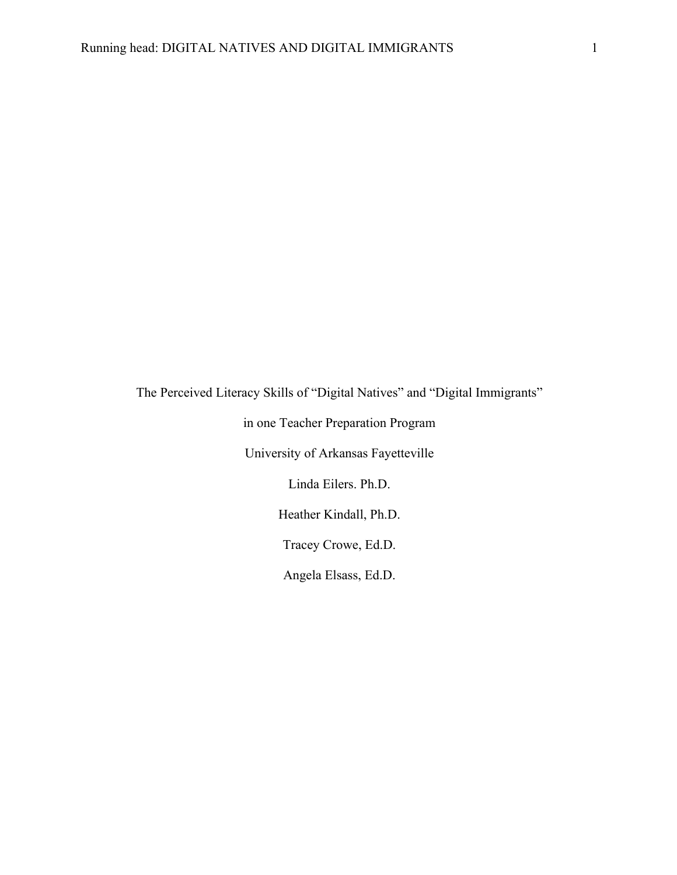The Perceived Literacy Skills of "Digital Natives" and "Digital Immigrants"

in one Teacher Preparation Program

University of Arkansas Fayetteville

Linda Eilers. Ph.D.

Heather Kindall, Ph.D.

Tracey Crowe, Ed.D.

Angela Elsass, Ed.D.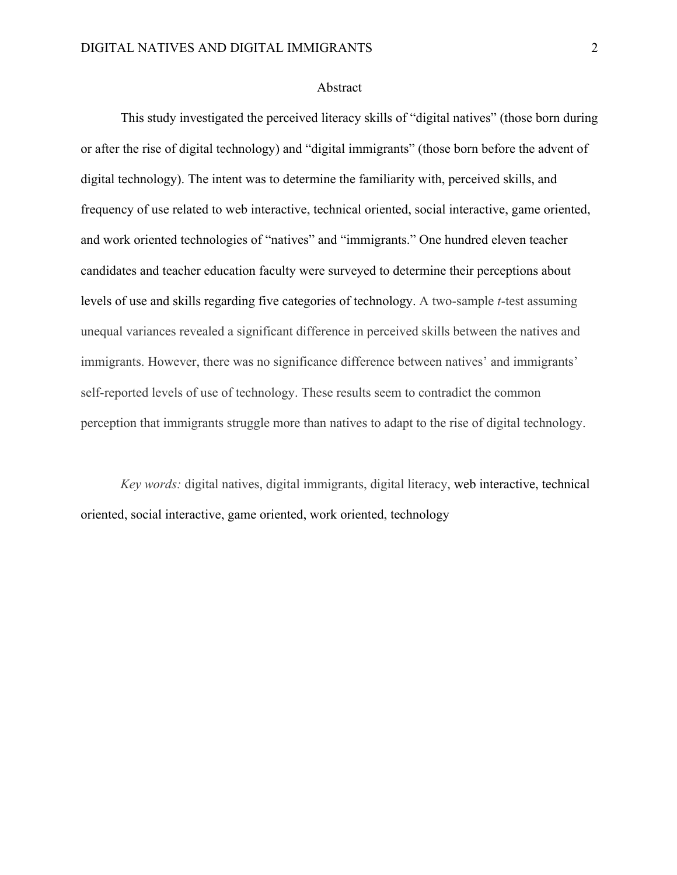## Abstract

This study investigated the perceived literacy skills of "digital natives" (those born during or after the rise of digital technology) and "digital immigrants" (those born before the advent of digital technology). The intent was to determine the familiarity with, perceived skills, and frequency of use related to web interactive, technical oriented, social interactive, game oriented, and work oriented technologies of "natives" and "immigrants." One hundred eleven teacher candidates and teacher education faculty were surveyed to determine their perceptions about levels of use and skills regarding five categories of technology. A two-sample *t*-test assuming unequal variances revealed a significant difference in perceived skills between the natives and immigrants. However, there was no significance difference between natives' and immigrants' self-reported levels of use of technology. These results seem to contradict the common perception that immigrants struggle more than natives to adapt to the rise of digital technology.

*Key words:* digital natives, digital immigrants, digital literacy, web interactive, technical oriented, social interactive, game oriented, work oriented, technology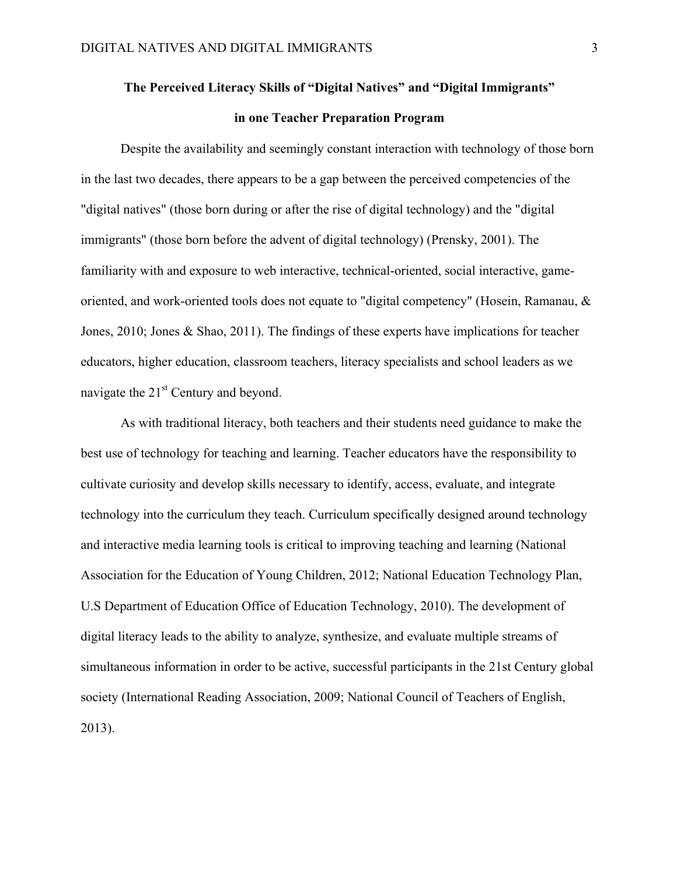# **The Perceived Literacy Skills of "Digital Natives" and "Digital Immigrants" in one Teacher Preparation Program**

Despite the availability and seemingly constant interaction with technology of those born in the last two decades, there appears to be a gap between the perceived competencies of the "digital natives" (those born during or after the rise of digital technology) and the "digital immigrants" (those born before the advent of digital technology) (Prensky, 2001). The familiarity with and exposure to web interactive, technical-oriented, social interactive, gameoriented, and work-oriented tools does not equate to "digital competency" (Hosein, Ramanau, & Jones, 2010; Jones & Shao, 2011). The findings of these experts have implications for teacher educators, higher education, classroom teachers, literacy specialists and school leaders as we navigate the  $21<sup>st</sup>$  Century and beyond.

As with traditional literacy, both teachers and their students need guidance to make the best use of technology for teaching and learning. Teacher educators have the responsibility to cultivate curiosity and develop skills necessary to identify, access, evaluate, and integrate technology into the curriculum they teach. Curriculum specifically designed around technology and interactive media learning tools is critical to improving teaching and learning (National Association for the Education of Young Children, 2012; National Education Technology Plan, U.S Department of Education Office of Education Technology, 2010). The development of digital literacy leads to the ability to analyze, synthesize, and evaluate multiple streams of simultaneous information in order to be active, successful participants in the 21st Century global society (International Reading Association, 2009; National Council of Teachers of English, 2013).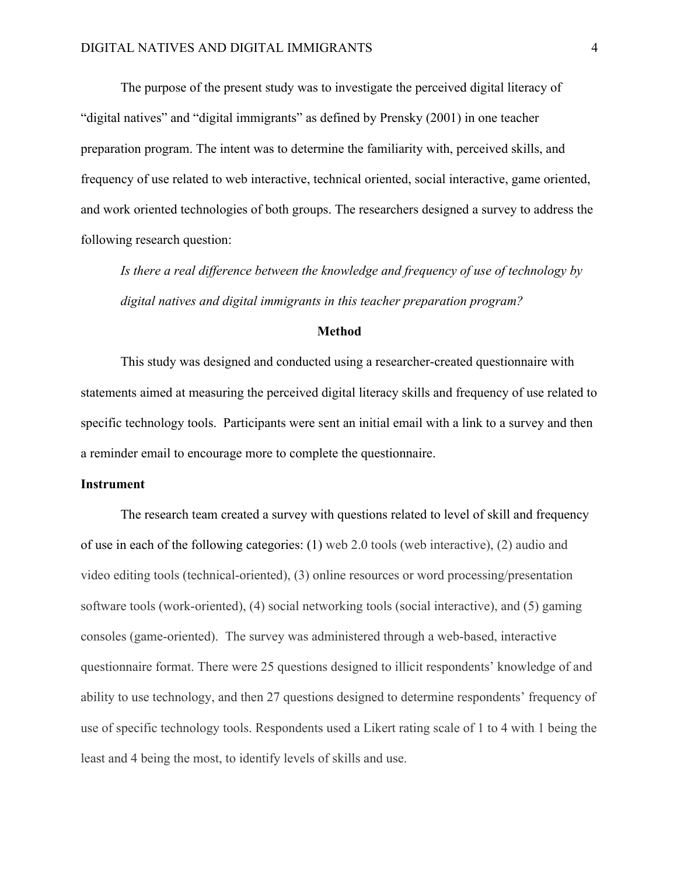The purpose of the present study was to investigate the perceived digital literacy of "digital natives" and "digital immigrants" as defined by Prensky (2001) in one teacher preparation program. The intent was to determine the familiarity with, perceived skills, and frequency of use related to web interactive, technical oriented, social interactive, game oriented, and work oriented technologies of both groups. The researchers designed a survey to address the following research question:

*Is there a real difference between the knowledge and frequency of use of technology by digital natives and digital immigrants in this teacher preparation program?*

## **Method**

This study was designed and conducted using a researcher-created questionnaire with statements aimed at measuring the perceived digital literacy skills and frequency of use related to specific technology tools. Participants were sent an initial email with a link to a survey and then a reminder email to encourage more to complete the questionnaire.

## **Instrument**

The research team created a survey with questions related to level of skill and frequency of use in each of the following categories: (1) web 2.0 tools (web interactive), (2) audio and video editing tools (technical-oriented), (3) online resources or word processing/presentation software tools (work-oriented), (4) social networking tools (social interactive), and (5) gaming consoles (game-oriented). The survey was administered through a web-based, interactive questionnaire format. There were 25 questions designed to illicit respondents' knowledge of and ability to use technology, and then 27 questions designed to determine respondents' frequency of use of specific technology tools. Respondents used a Likert rating scale of 1 to 4 with 1 being the least and 4 being the most, to identify levels of skills and use.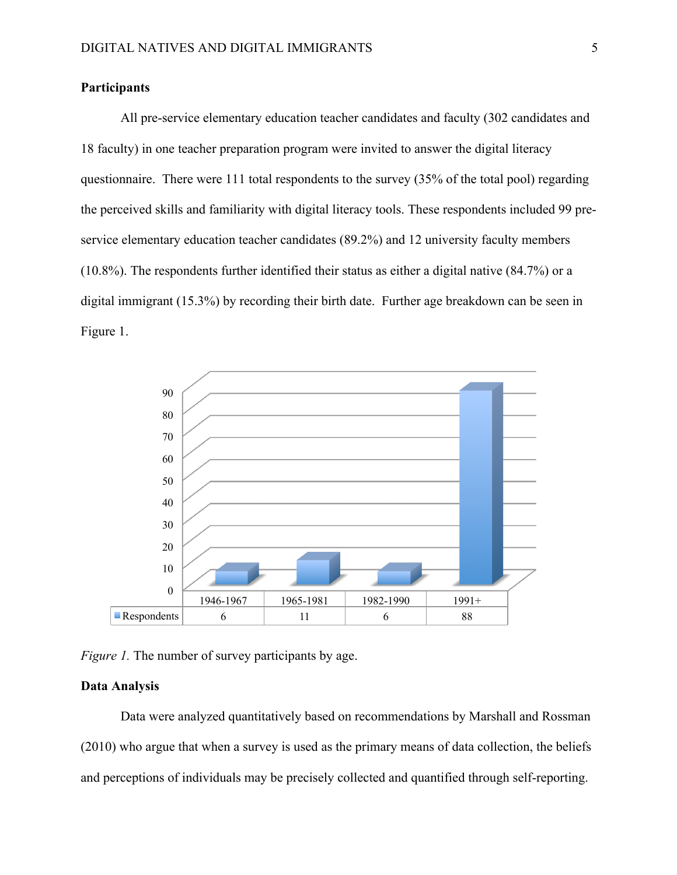## **Participants**

All pre-service elementary education teacher candidates and faculty (302 candidates and 18 faculty) in one teacher preparation program were invited to answer the digital literacy questionnaire. There were 111 total respondents to the survey (35% of the total pool) regarding the perceived skills and familiarity with digital literacy tools. These respondents included 99 preservice elementary education teacher candidates (89.2%) and 12 university faculty members (10.8%). The respondents further identified their status as either a digital native (84.7%) or a digital immigrant (15.3%) by recording their birth date. Further age breakdown can be seen in Figure 1.



*Figure 1.* The number of survey participants by age.

## **Data Analysis**

Data were analyzed quantitatively based on recommendations by Marshall and Rossman (2010) who argue that when a survey is used as the primary means of data collection, the beliefs and perceptions of individuals may be precisely collected and quantified through self-reporting.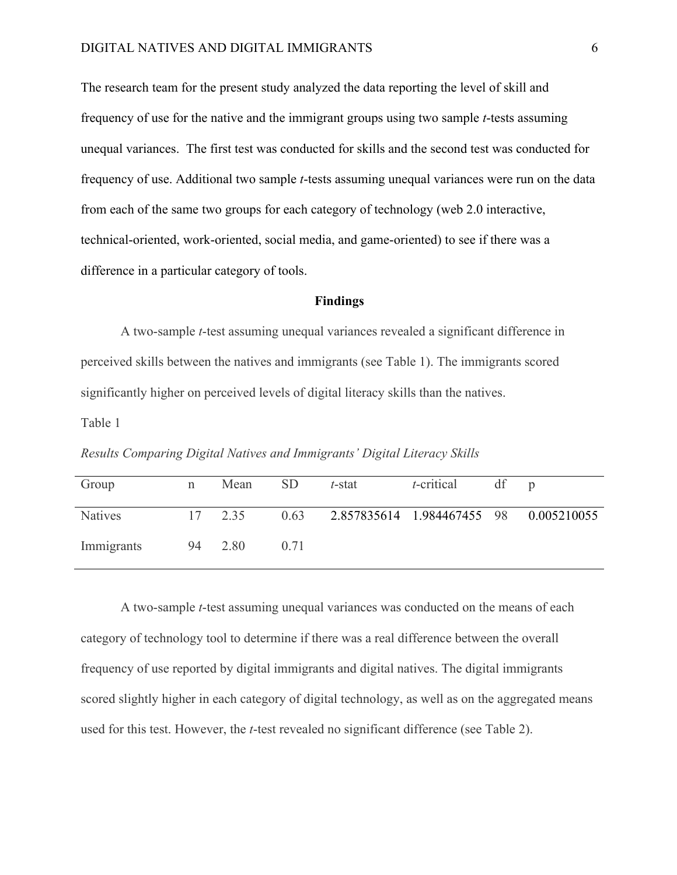The research team for the present study analyzed the data reporting the level of skill and frequency of use for the native and the immigrant groups using two sample *t*-tests assuming unequal variances. The first test was conducted for skills and the second test was conducted for frequency of use. Additional two sample *t*-tests assuming unequal variances were run on the data from each of the same two groups for each category of technology (web 2.0 interactive, technical-oriented, work-oriented, social media, and game-oriented) to see if there was a difference in a particular category of tools.

## **Findings**

A two-sample *t*-test assuming unequal variances revealed a significant difference in perceived skills between the natives and immigrants (see Table 1). The immigrants scored significantly higher on perceived levels of digital literacy skills than the natives.

Table 1

|  |  | Results Comparing Digital Natives and Immigrants' Digital Literacy Skills |  |
|--|--|---------------------------------------------------------------------------|--|
|  |  |                                                                           |  |

| Group          | n  | Mean | <b>SD</b> | t-stat | $t$ -critical                          | df |  |
|----------------|----|------|-----------|--------|----------------------------------------|----|--|
| <b>Natives</b> | 17 | 2.35 | 0.63      |        | 2.857835614 1.984467455 98 0.005210055 |    |  |
| Immigrants     | 94 | 2.80 | 071       |        |                                        |    |  |

A two-sample *t*-test assuming unequal variances was conducted on the means of each category of technology tool to determine if there was a real difference between the overall frequency of use reported by digital immigrants and digital natives. The digital immigrants scored slightly higher in each category of digital technology, as well as on the aggregated means used for this test. However, the *t*-test revealed no significant difference (see Table 2).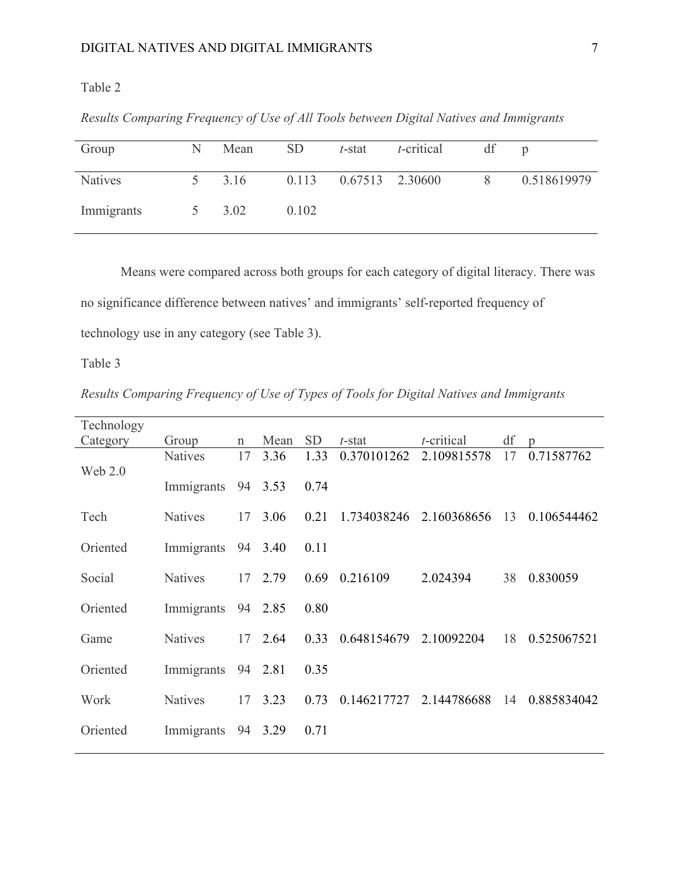# Table 2

| Group          | N | Mean | <b>SD</b> | $t$ -stat             | <i>t</i> -critical | df |             |
|----------------|---|------|-----------|-----------------------|--------------------|----|-------------|
| <b>Natives</b> |   | 3.16 |           | 0.113 0.67513 2.30600 |                    | 8  | 0.518619979 |
| Immigrants     |   | 3.02 | 0.102     |                       |                    |    |             |

*Results Comparing Frequency of Use of All Tools between Digital Natives and Immigrants*

Means were compared across both groups for each category of digital literacy. There was no significance difference between natives' and immigrants' self-reported frequency of technology use in any category (see Table 3).

Table 3

*Results Comparing Frequency of Use of Types of Tools for Digital Natives and Immigrants*

| Technology |                    |             |         |           |             |               |    |                |
|------------|--------------------|-------------|---------|-----------|-------------|---------------|----|----------------|
| Category   | Group              | $\mathbf n$ | Mean    | <b>SD</b> | t-stat      | $t$ -critical | df | $\mathfrak{D}$ |
| Web $2.0$  | <b>Natives</b>     | 17          | 3.36    | 1.33      | 0.370101262 | 2.109815578   | 17 | 0.71587762     |
|            | Immigrants         |             | 94 3.53 | 0.74      |             |               |    |                |
| Tech       | <b>Natives</b>     | 17          | 3.06    | 0.21      | 1.734038246 | 2.160368656   | 13 | 0.106544462    |
| Oriented   | Immigrants 94      |             | 3.40    | 0.11      |             |               |    |                |
| Social     | <b>Natives</b>     | 17          | 2.79    | 0.69      | 0.216109    | 2.024394      | 38 | 0.830059       |
| Oriented   | Immigrants 94      |             | 2.85    | 0.80      |             |               |    |                |
| Game       | <b>Natives</b>     |             | 17 2.64 | 0.33      | 0.648154679 | 2.10092204    | 18 | 0.525067521    |
| Oriented   | Immigrants 94 2.81 |             |         | 0.35      |             |               |    |                |
| Work       | <b>Natives</b>     | 17          | 3.23    | 0.73      | 0.146217727 | 2.144786688   | 14 | 0.885834042    |
| Oriented   | Immigrants         | 94          | 3.29    | 0.71      |             |               |    |                |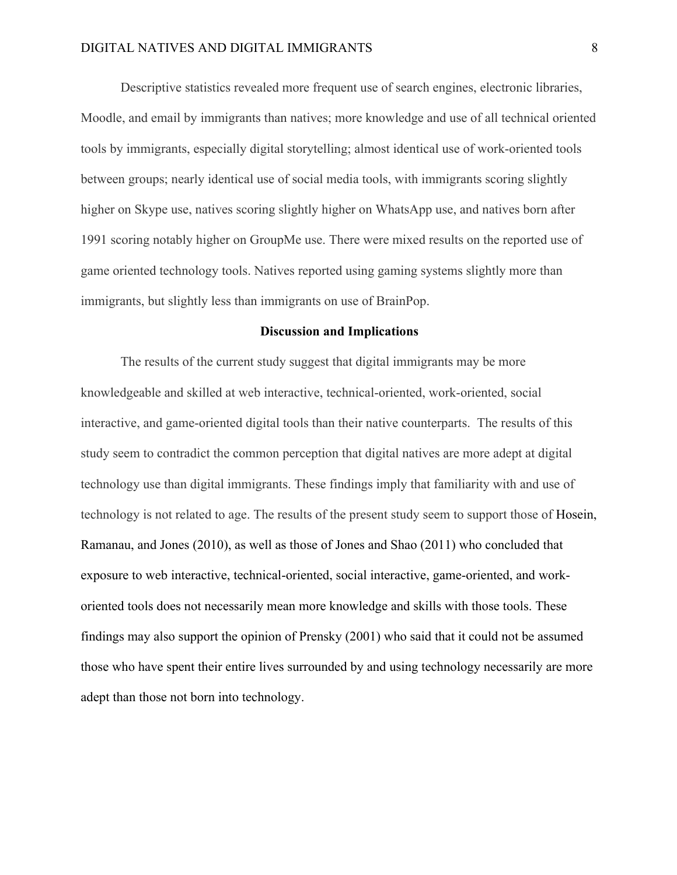Descriptive statistics revealed more frequent use of search engines, electronic libraries, Moodle, and email by immigrants than natives; more knowledge and use of all technical oriented tools by immigrants, especially digital storytelling; almost identical use of work-oriented tools between groups; nearly identical use of social media tools, with immigrants scoring slightly higher on Skype use, natives scoring slightly higher on WhatsApp use, and natives born after 1991 scoring notably higher on GroupMe use. There were mixed results on the reported use of game oriented technology tools. Natives reported using gaming systems slightly more than immigrants, but slightly less than immigrants on use of BrainPop.

#### **Discussion and Implications**

The results of the current study suggest that digital immigrants may be more knowledgeable and skilled at web interactive, technical-oriented, work-oriented, social interactive, and game-oriented digital tools than their native counterparts. The results of this study seem to contradict the common perception that digital natives are more adept at digital technology use than digital immigrants. These findings imply that familiarity with and use of technology is not related to age. The results of the present study seem to support those of Hosein, Ramanau, and Jones (2010), as well as those of Jones and Shao (2011) who concluded that exposure to web interactive, technical-oriented, social interactive, game-oriented, and workoriented tools does not necessarily mean more knowledge and skills with those tools. These findings may also support the opinion of Prensky (2001) who said that it could not be assumed those who have spent their entire lives surrounded by and using technology necessarily are more adept than those not born into technology.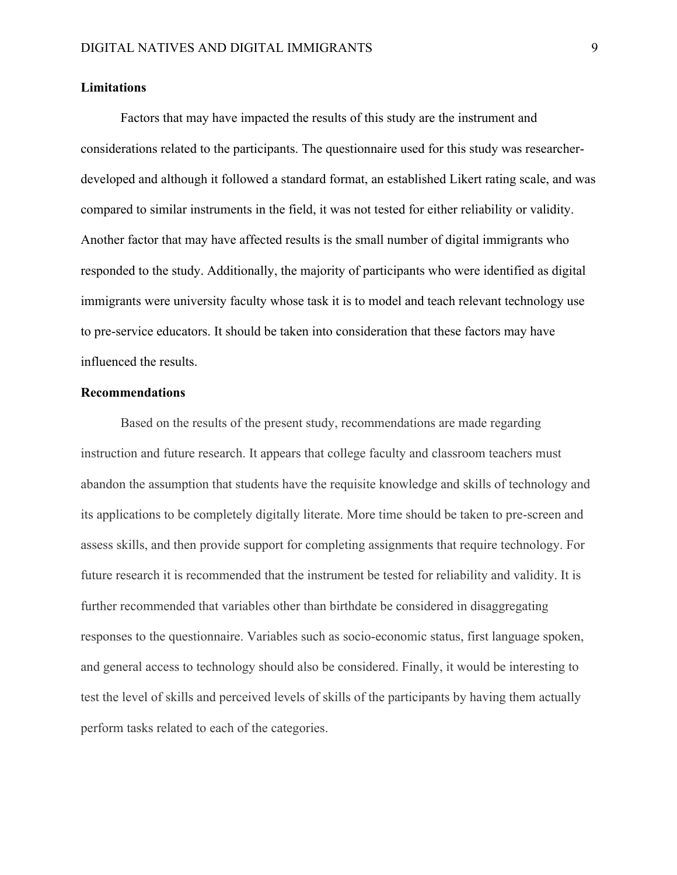## **Limitations**

Factors that may have impacted the results of this study are the instrument and considerations related to the participants. The questionnaire used for this study was researcherdeveloped and although it followed a standard format, an established Likert rating scale, and was compared to similar instruments in the field, it was not tested for either reliability or validity. Another factor that may have affected results is the small number of digital immigrants who responded to the study. Additionally, the majority of participants who were identified as digital immigrants were university faculty whose task it is to model and teach relevant technology use to pre-service educators. It should be taken into consideration that these factors may have influenced the results.

## **Recommendations**

Based on the results of the present study, recommendations are made regarding instruction and future research. It appears that college faculty and classroom teachers must abandon the assumption that students have the requisite knowledge and skills of technology and its applications to be completely digitally literate. More time should be taken to pre-screen and assess skills, and then provide support for completing assignments that require technology. For future research it is recommended that the instrument be tested for reliability and validity. It is further recommended that variables other than birthdate be considered in disaggregating responses to the questionnaire. Variables such as socio-economic status, first language spoken, and general access to technology should also be considered. Finally, it would be interesting to test the level of skills and perceived levels of skills of the participants by having them actually perform tasks related to each of the categories.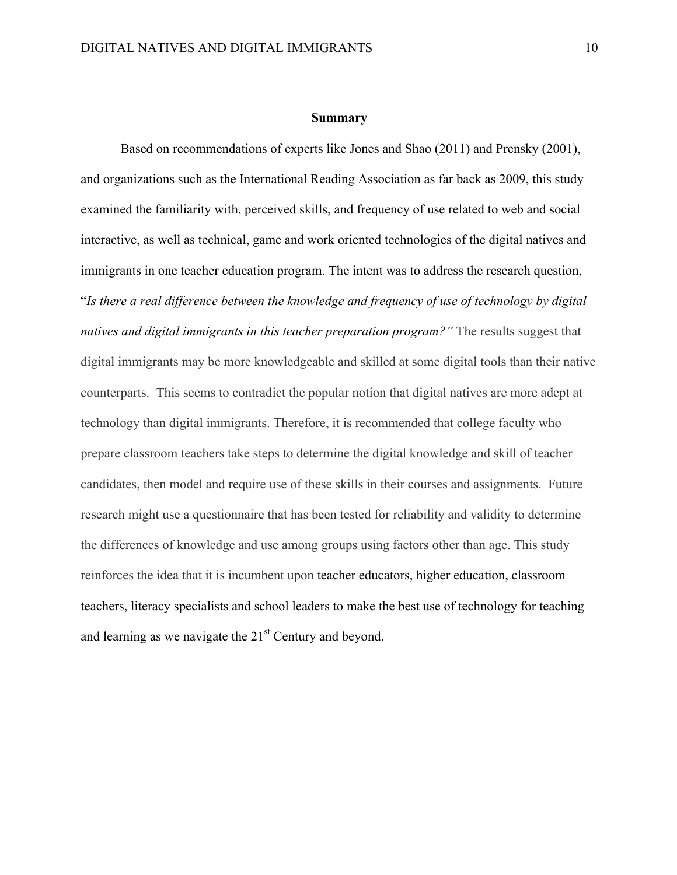#### **Summary**

Based on recommendations of experts like Jones and Shao (2011) and Prensky (2001), and organizations such as the International Reading Association as far back as 2009, this study examined the familiarity with, perceived skills, and frequency of use related to web and social interactive, as well as technical, game and work oriented technologies of the digital natives and immigrants in one teacher education program. The intent was to address the research question, "*Is there a real difference between the knowledge and frequency of use of technology by digital natives and digital immigrants in this teacher preparation program?"* The results suggest that digital immigrants may be more knowledgeable and skilled at some digital tools than their native counterparts. This seems to contradict the popular notion that digital natives are more adept at technology than digital immigrants. Therefore, it is recommended that college faculty who prepare classroom teachers take steps to determine the digital knowledge and skill of teacher candidates, then model and require use of these skills in their courses and assignments. Future research might use a questionnaire that has been tested for reliability and validity to determine the differences of knowledge and use among groups using factors other than age. This study reinforces the idea that it is incumbent upon teacher educators, higher education, classroom teachers, literacy specialists and school leaders to make the best use of technology for teaching and learning as we navigate the  $21<sup>st</sup>$  Century and beyond.